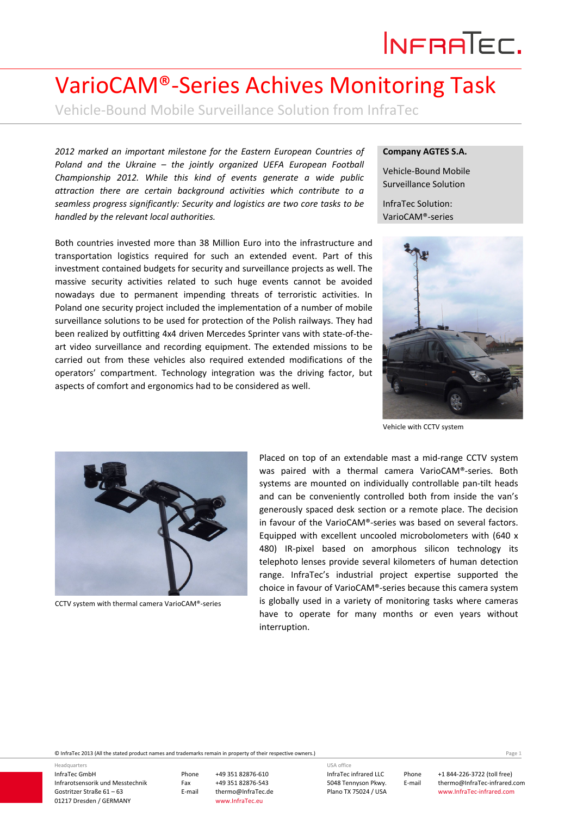## INFRATEC.

## VarioCAM®‐Series Achives Monitoring Task

Vehicle‐Bound Mobile Surveillance Solution from InfraTec

*2012 marked an important milestone for the Eastern European Countries of Poland and the Ukraine – the jointly organized UEFA European Football Championship 2012. While this kind of events generate a wide public attraction there are certain background activities which contribute to a seamless progress significantly: Security and logistics are two core tasks to be handled by the relevant local authorities.*

Both countries invested more than 38 Million Euro into the infrastructure and transportation logistics required for such an extended event. Part of this investment contained budgets for security and surveillance projects as well. The massive security activities related to such huge events cannot be avoided nowadays due to permanent impending threats of terroristic activities. In Poland one security project included the implementation of a number of mobile surveillance solutions to be used for protection of the Polish railways. They had been realized by outfitting 4x4 driven Mercedes Sprinter vans with state‐of‐the‐ art video surveillance and recording equipment. The extended missions to be carried out from these vehicles also required extended modifications of the operators' compartment. Technology integration was the driving factor, but aspects of comfort and ergonomics had to be considered as well.

## **Company AGTES S.A.**

Vehicle‐Bound Mobile Surveillance Solution

InfraTec Solution: VarioCAM®‐series



Vehicle with CCTV system



CCTV system with thermal camera VarioCAM®‐series

Placed on top of an extendable mast a mid‐range CCTV system was paired with a thermal camera VarioCAM®-series. Both systems are mounted on individually controllable pan-tilt heads and can be conveniently controlled both from inside the van's generously spaced desk section or a remote place. The decision in favour of the VarioCAM®‐series was based on several factors. Equipped with excellent uncooled microbolometers with (640 x 480) IR-pixel based on amorphous silicon technology its telephoto lenses provide several kilometers of human detection range. InfraTec's industrial project expertise supported the choice in favour of VarioCAM®‐series because this camera system is globally used in a variety of monitoring tasks where cameras have to operate for many months or even years without interruption.

© InfraTec 2013 (All the stated product names and trademarks remain in property of their respective owners.) Page **1**

InfraTec GmbH Infrarotsensorik und Messtechnik Gostritzer Straße 61 – 63 01217 Dresden / GERMANY

Headquarters

Phone +49 351 82876‐610 Fax +49 351 82876-543<br>E-mail thermo@InfraTec.d thermo@InfraTec.de www.InfraTec.eu

InfraTec infrared LLC 5048 Tennyson Pkwy. USA office

Plano TX 75024 / USA

Phone +1 844‐226‐3722 (toll free) E-mail thermo@InfraTec-infrared.com www.InfraTec‐infrared.com